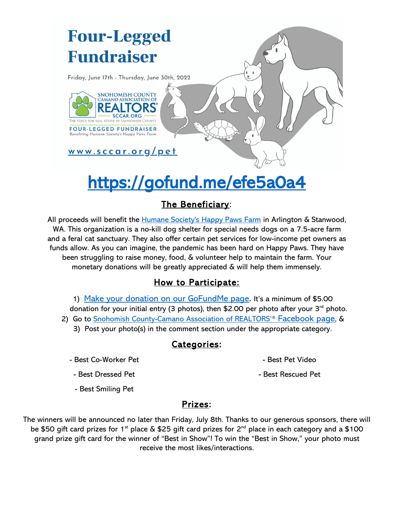## **Four-Legged Fundraiser**

Friday, June 17th - Thursday, June 30th, 2022



<u>www.sccar.org/pet</u>

# <https://gofund.me/efe5a0a4>

### The Beneficiary:

All proceeds will benefit the [Humane Society's Happy Paws Farm](http://www.pawsworld.com/hssc/main/index.html) in Arlington & Stanwood, WA. This organization is a no-kill dog shelter for special needs dogs on a 7.5-acre farm and a feral cat sanctuary. They also offer certain pet services for low-income pet owners as funds allow. As you can imagine, the pandemic has been hard on Happy Paws. They have been struggling to raise money, food, & volunteer help to maintain the farm. Your monetary donations will be greatly appreciated & will help them immensely.

### How to Participate:

1) [Make your donation on our GoFundMe page](https://gofund.me/efe5a0a4). It's a minimum of \$5.00 donation for your initial entry (3 photos), then \$2.00 per photo after your 3<sup>rd</sup> photo. 2) Go to Snohomish County-Camano Association of REALTORS<sup>'®</sup> [Facebook page](https://www.facebook.com/sccarealtors/), & 3) Post your photo(s) in the comment section under the appropriate category.

### Categories:

- Best Co-Worker Pet

- Best Pet Video

- Best Rescued Pet

- Best Dressed Pet
- Best Smiling Pet

### Prizes:

The winners will be announced no later than Friday, July 8th. Thanks to our generous sponsors, there will be \$50 gift card prizes for 1<sup>st</sup> place & \$25 gift card prizes for 2<sup>nd</sup> place in each category and a \$100 grand prize gift card for the winner of "Best in Show"! To win the "Best in Show," your photo must receive the most likes/interactions.